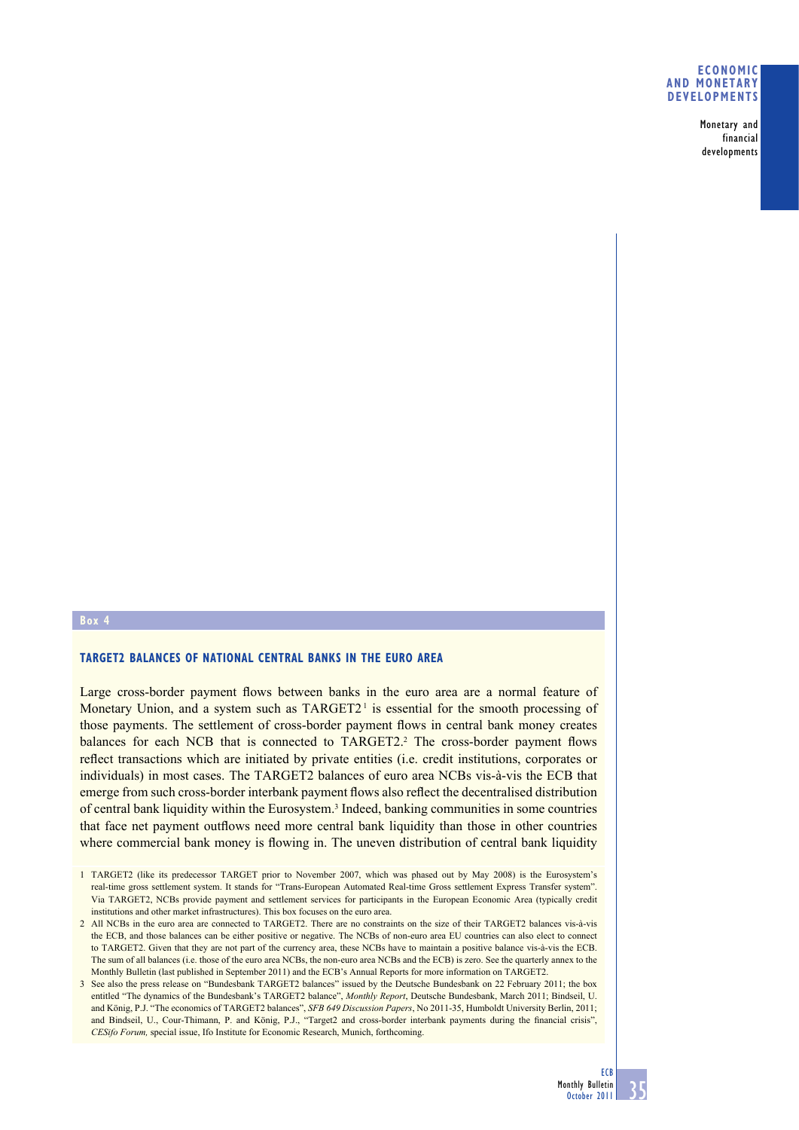#### **ECONOMIC AND MONETARY DEVELOPMENTS**

Monetary and financial developments

## **Box 4**

## **TARGET2 BALANCES OF NATIONAL CENTRAL BANKS IN THE EURO AREA**

Large cross-border payment flows between banks in the euro area are a normal feature of Monetary Union, and a system such as  $TARGET2<sup>1</sup>$  is essential for the smooth processing of those payments. The settlement of cross-border payment flows in central bank money creates balances for each NCB that is connected to TARGET2.<sup>2</sup> The cross-border payment flows reflect transactions which are initiated by private entities (i.e. credit institutions, corporates or individuals) in most cases. The TARGET2 balances of euro area NCBs vis-à-vis the ECB that emerge from such cross-border interbank payment flows also reflect the decentralised distribution of central bank liquidity within the Eurosystem.<sup>3</sup> Indeed, banking communities in some countries that face net payment outflows need more central bank liquidity than those in other countries where commercial bank money is flowing in. The uneven distribution of central bank liquidity

<sup>1</sup> TARGET2 (like its predecessor TARGET prior to November 2007, which was phased out by May 2008) is the Eurosystem's real-time gross settlement system. It stands for "Trans-European Automated Real-time Gross settlement Express Transfer system". Via TARGET2, NCBs provide payment and settlement services for participants in the European Economic Area (typically credit institutions and other market infrastructures). This box focuses on the euro area.

<sup>2</sup> All NCBs in the euro area are connected to TARGET2. There are no constraints on the size of their TARGET2 balances vis-à-vis the ECB, and those balances can be either positive or negative. The NCBs of non-euro area EU countries can also elect to connect to TARGET2. Given that they are not part of the currency area, these NCBs have to maintain a positive balance vis-à-vis the ECB. The sum of all balances (i.e. those of the euro area NCBs, the non-euro area NCBs and the ECB) is zero. See the quarterly annex to the Monthly Bulletin (last published in September 2011) and the ECB's Annual Reports for more information on TARGET2.

<sup>3</sup> See also the press release on "Bundesbank TARGET2 balances" issued by the Deutsche Bundesbank on 22 February 2011; the box entitled "The dynamics of the Bundesbank's TARGET2 balance", *Monthly Report*, Deutsche Bundesbank, March 2011; Bindseil, U. and König, P.J. "The economics of TARGET2 balances", *SFB 649 Discussion Papers*, No 2011-35, Humboldt University Berlin, 2011; and Bindseil, U., Cour-Thimann, P. and König, P.J., "Target2 and cross-border interbank payments during the financial crisis", *CESifo Forum,* special issue, Ifo Institute for Economic Research, Munich, forthcoming.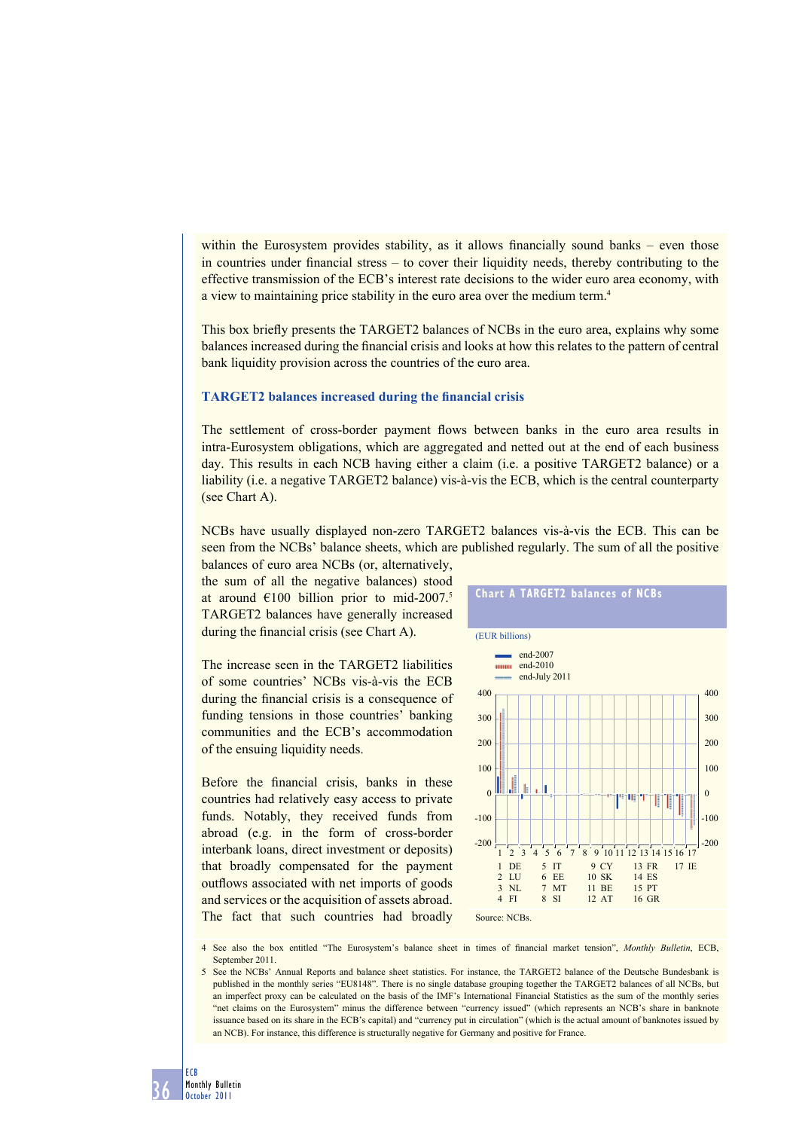within the Eurosystem provides stability, as it allows financially sound banks – even those in countries under financial stress  $-$  to cover their liquidity needs, thereby contributing to the effective transmission of the ECB's interest rate decisions to the wider euro area economy, with a view to maintaining price stability in the euro area over the medium term.4

This box briefly presents the TARGET2 balances of NCBs in the euro area, explains why some balances increased during the financial crisis and looks at how this relates to the pattern of central bank liquidity provision across the countries of the euro area.

#### **TARGET2** balances increased during the financial crisis

The settlement of cross-border payment flows between banks in the euro area results in intra-Eurosystem obligations, which are aggregated and netted out at the end of each business day. This results in each NCB having either a claim (i.e. a positive TARGET2 balance) or a liability (i.e. a negative TARGET2 balance) vis-à-vis the ECB, which is the central counterparty (see Chart A).

NCBs have usually displayed non-zero TARGET2 balances vis-à-vis the ECB. This can be seen from the NCBs' balance sheets, which are published regularly. The sum of all the positive

balances of euro area NCBs (or, alternatively, the sum of all the negative balances) stood at around  $\epsilon$ 100 billion prior to mid-2007.<sup>5</sup> TARGET2 balances have generally increased during the financial crisis (see Chart A).

The increase seen in the TARGET2 liabilities of some countries' NCBs vis-à-vis the ECB during the financial crisis is a consequence of funding tensions in those countries' banking communities and the ECB's accommodation of the ensuing liquidity needs.

Before the financial crisis, banks in these countries had relatively easy access to private funds. Notably, they received funds from abroad (e.g. in the form of cross-border interbank loans, direct investment or deposits) that broadly compensated for the payment outflows associated with net imports of goods and services or the acquisition of assets abroad. The fact that such countries had broadly



4 See also the box entitled "The Eurosystem's balance sheet in times of financial market tension", *Monthly Bulletin*, ECB, September 2011.

<sup>5</sup> See the NCBs' Annual Reports and balance sheet statistics. For instance, the TARGET2 balance of the Deutsche Bundesbank is published in the monthly series "EU8148". There is no single database grouping together the TARGET2 balances of all NCBs, but an imperfect proxy can be calculated on the basis of the IMF's International Financial Statistics as the sum of the monthly series "net claims on the Eurosystem" minus the difference between "currency issued" (which represents an NCB's share in banknote issuance based on its share in the ECB's capital) and "currency put in circulation" (which is the actual amount of banknotes issued by an NCB). For instance, this difference is structurally negative for Germany and positive for France.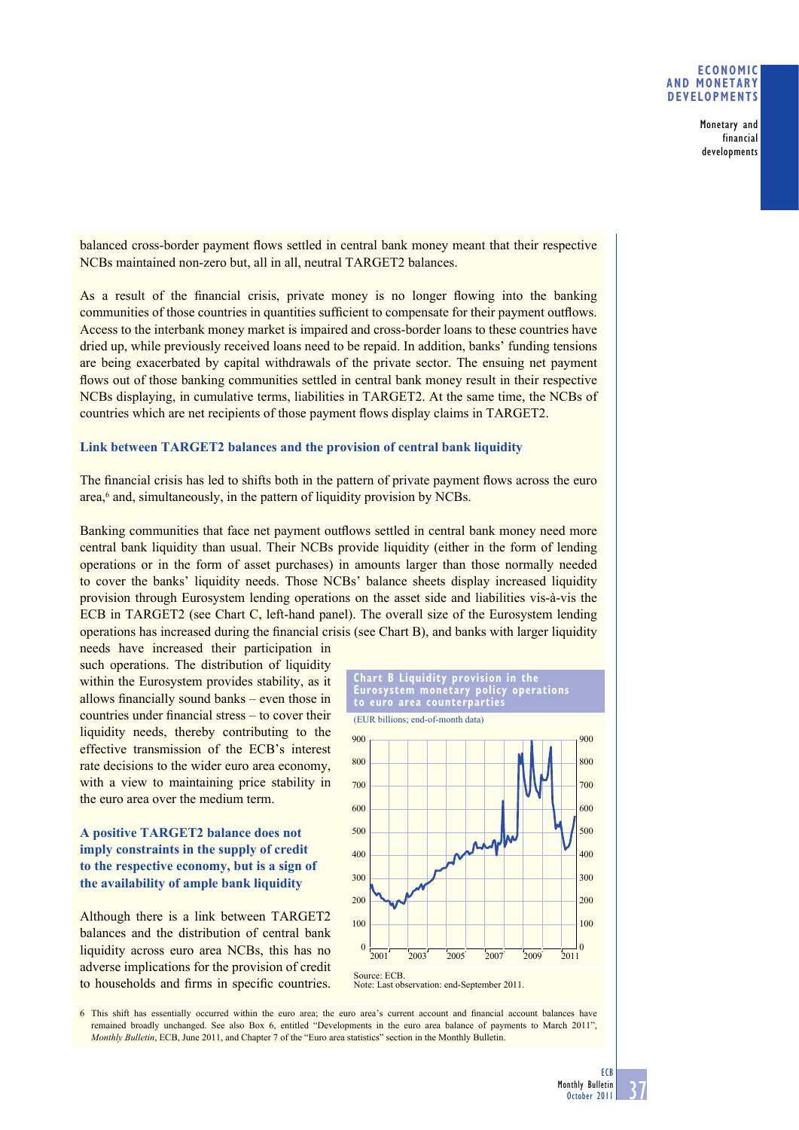## **ECONOMIC AND MONETARY DEVELOPMENTS**

Monetary and financial developments

balanced cross-border payment flows settled in central bank money meant that their respective NCBs maintained non-zero but, all in all, neutral TARGET2 balances.

As a result of the financial crisis, private money is no longer flowing into the banking communities of those countries in quantities sufficient to compensate for their payment outflows. Access to the interbank money market is impaired and cross-border loans to these countries have dried up, while previously received loans need to be repaid. In addition, banks' funding tensions are being exacerbated by capital withdrawals of the private sector. The ensuing net payment flows out of those banking communities settled in central bank money result in their respective NCBs displaying, in cumulative terms, liabilities in TARGET2. At the same time, the NCBs of countries which are net recipients of those payment flows display claims in TARGET2.

#### **Link between TARGET2 balances and the provision of central bank liquidity**

The financial crisis has led to shifts both in the pattern of private payment flows across the euro area,<sup>6</sup> and, simultaneously, in the pattern of liquidity provision by NCBs.

Banking communities that face net payment outflows settled in central bank money need more central bank liquidity than usual. Their NCBs provide liquidity (either in the form of lending operations or in the form of asset purchases) in amounts larger than those normally needed to cover the banks' liquidity needs. Those NCBs' balance sheets display increased liquidity provision through Eurosystem lending operations on the asset side and liabilities vis-à-vis the ECB in TARGET2 (see Chart C, left-hand panel). The overall size of the Eurosystem lending operations has increased during the financial crisis (see Chart B), and banks with larger liquidity

needs have increased their participation in such operations. The distribution of liquidity within the Eurosystem provides stability, as it allows financially sound banks – even those in countries under financial stress  $-$  to cover their liquidity needs, thereby contributing to the effective transmission of the ECB's interest rate decisions to the wider euro area economy, with a view to maintaining price stability in the euro area over the medium term.

# **A positive TARGET2 balance does not imply constraints in the supply of credit to the respective economy, but is a sign of the availability of ample bank liquidity**

Although there is a link between TARGET2 balances and the distribution of central bank liquidity across euro area NCBs, this has no adverse implications for the provision of credit to households and firms in specific countries.



6 This shift has essentially occurred within the euro area; the euro area's current account and financial account balances have remained broadly unchanged. See also Box 6, entitled "Developments in the euro area balance of payments to March 2011", *Monthly Bulletin*, ECB, June 2011, and Chapter 7 of the "Euro area statistics" section in the Monthly Bulletin.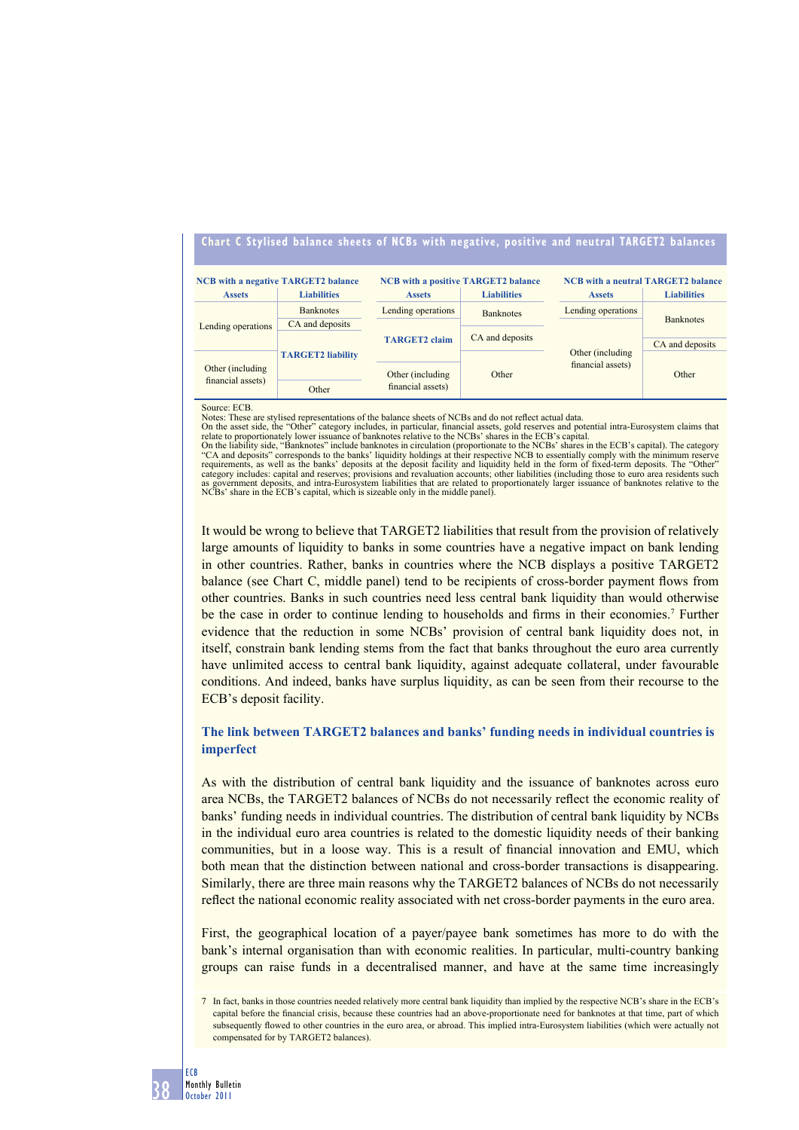# **Chart C Stylised balance sheets of NCBs with negative, positive and neutral TARGET2 balances**

| <b>NCB</b> with a negative TARGET2 balance |                          | <b>NCB</b> with a positive TARGET2 balance |                    | <b>NCB</b> with a neutral TARGET2 balance |                    |
|--------------------------------------------|--------------------------|--------------------------------------------|--------------------|-------------------------------------------|--------------------|
| <b>Assets</b>                              | <b>Liabilities</b>       | <b>Assets</b>                              | <b>Liabilities</b> | <b>Assets</b>                             | <b>Liabilities</b> |
| Lending operations                         | <b>Banknotes</b>         | Lending operations                         | <b>Banknotes</b>   | Lending operations                        | <b>Banknotes</b>   |
|                                            | CA and deposits          | <b>TARGET2</b> claim                       | CA and deposits    | Other (including)<br>financial assets)    |                    |
|                                            | <b>TARGET2</b> liability |                                            |                    |                                           | CA and deposits    |
| Other (including)<br>financial assets)     |                          |                                            | Other              |                                           | Other              |
|                                            |                          | Other (including)<br>financial assets)     |                    |                                           |                    |
|                                            | Other                    |                                            |                    |                                           |                    |

Source: ECB.

Notes: These are stylised representations of the balance sheets of NCBs and do not reflect actual data.<br>On the asset side, the "Other" category includes, in particular, financial assets, gold reserves and potential intra-E

On the liability side, "Banknotes" include banknotes in circulation (proportionate to the NCBs' shares in the ECB's capital). The category "CA and deposits" corresponds to the banks' liquidity holdings at their respective requirements, as well as the banks' deposits at the deposit facility and liquidity held in the form of fixed-term deposits. The "Other"<br>category includes: capital and reserves; provisions and revaluation accounts; other li as government deposits, and intra-Eurosystem liabilities that are related to proportionately larger issuance of banknotes relative to the NCBs' share in the ECB's capital, which is sizeable only in the middle panel)

It would be wrong to believe that TARGET2 liabilities that result from the provision of relatively large amounts of liquidity to banks in some countries have a negative impact on bank lending in other countries. Rather, banks in countries where the NCB displays a positive TARGET2 balance (see Chart C, middle panel) tend to be recipients of cross-border payment flows from other countries. Banks in such countries need less central bank liquidity than would otherwise be the case in order to continue lending to households and firms in their economies.<sup>7</sup> Further evidence that the reduction in some NCBs' provision of central bank liquidity does not, in itself, constrain bank lending stems from the fact that banks throughout the euro area currently have unlimited access to central bank liquidity, against adequate collateral, under favourable conditions. And indeed, banks have surplus liquidity, as can be seen from their recourse to the ECB's deposit facility.

## **The link between TARGET2 balances and banks' funding needs in individual countries is imperfect**

As with the distribution of central bank liquidity and the issuance of banknotes across euro area NCBs, the TARGET2 balances of NCBs do not necessarily reflect the economic reality of banks' funding needs in individual countries. The distribution of central bank liquidity by NCBs in the individual euro area countries is related to the domestic liquidity needs of their banking communities, but in a loose way. This is a result of financial innovation and EMU, which both mean that the distinction between national and cross-border transactions is disappearing. Similarly, there are three main reasons why the TARGET2 balances of NCBs do not necessarily reflect the national economic reality associated with net cross-border payments in the euro area.

First, the geographical location of a payer/payee bank sometimes has more to do with the bank's internal organisation than with economic realities. In particular, multi-country banking groups can raise funds in a decentralised manner, and have at the same time increasingly

<sup>7</sup> In fact, banks in those countries needed relatively more central bank liquidity than implied by the respective NCB's share in the ECB's capital before the financial crisis, because these countries had an above-proportionate need for banknotes at that time, part of which subsequently flowed to other countries in the euro area, or abroad. This implied intra-Eurosystem liabilities (which were actually not compensated for by TARGET2 balances).

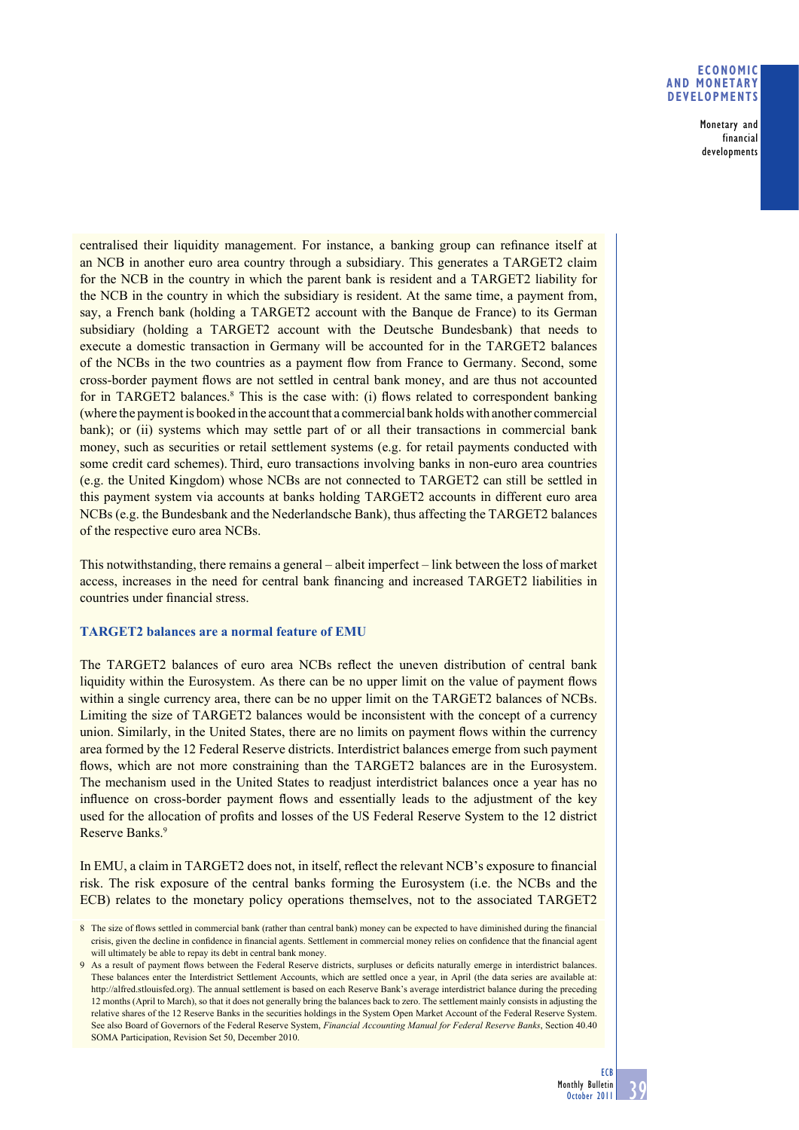## **ECONOMIC AND MONETARY DEVELOPMENTS**

Monetary and financial developments

centralised their liquidity management. For instance, a banking group can refinance itself at an NCB in another euro area country through a subsidiary. This generates a TARGET2 claim for the NCB in the country in which the parent bank is resident and a TARGET2 liability for the NCB in the country in which the subsidiary is resident. At the same time, a payment from, say, a French bank (holding a TARGET2 account with the Banque de France) to its German subsidiary (holding a TARGET2 account with the Deutsche Bundesbank) that needs to execute a domestic transaction in Germany will be accounted for in the TARGET2 balances of the NCBs in the two countries as a payment flow from France to Germany. Second, some cross-border payment flows are not settled in central bank money, and are thus not accounted for in TARGET2 balances. $8$  This is the case with: (i) flows related to correspondent banking (where the payment is booked in the account that a commercial bank holds with another commercial bank); or (ii) systems which may settle part of or all their transactions in commercial bank money, such as securities or retail settlement systems (e.g. for retail payments conducted with some credit card schemes). Third, euro transactions involving banks in non-euro area countries (e.g. the United Kingdom) whose NCBs are not connected to TARGET2 can still be settled in this payment system via accounts at banks holding TARGET2 accounts in different euro area NCBs (e.g. the Bundesbank and the Nederlandsche Bank), thus affecting the TARGET2 balances of the respective euro area NCBs.

This notwithstanding, there remains a general – albeit imperfect – link between the loss of market access, increases in the need for central bank financing and increased TARGET2 liabilities in countries under financial stress.

## **TARGET2 balances are a normal feature of EMU**

The TARGET2 balances of euro area NCBs reflect the uneven distribution of central bank liquidity within the Eurosystem. As there can be no upper limit on the value of payment flows within a single currency area, there can be no upper limit on the TARGET2 balances of NCBs. Limiting the size of TARGET2 balances would be inconsistent with the concept of a currency union. Similarly, in the United States, there are no limits on payment flows within the currency area formed by the 12 Federal Reserve districts. Interdistrict balances emerge from such payment flows, which are not more constraining than the TARGET2 balances are in the Eurosystem. The mechanism used in the United States to readjust interdistrict balances once a year has no influence on cross-border payment flows and essentially leads to the adjustment of the key used for the allocation of profits and losses of the US Federal Reserve System to the 12 district Reserve Banks.9

In EMU, a claim in TARGET2 does not, in itself, reflect the relevant NCB's exposure to financial risk. The risk exposure of the central banks forming the Eurosystem (i.e. the NCBs and the ECB) relates to the monetary policy operations themselves, not to the associated TARGET2

<sup>8</sup> The size of flows settled in commercial bank (rather than central bank) money can be expected to have diminished during the financial crisis, given the decline in confidence in financial agents. Settlement in commercial money relies on confidence that the financial agent will ultimately be able to repay its debt in central bank money.

<sup>9</sup> As a result of payment flows between the Federal Reserve districts, surpluses or deficits naturally emerge in interdistrict balances. These balances enter the Interdistrict Settlement Accounts, which are settled once a year, in April (the data series are available at: http://alfred.stlouisfed.org). The annual settlement is based on each Reserve Bank's average interdistrict balance during the preceding 12 months (April to March), so that it does not generally bring the balances back to zero. The settlement mainly consists in adjusting the relative shares of the 12 Reserve Banks in the securities holdings in the System Open Market Account of the Federal Reserve System. See also Board of Governors of the Federal Reserve System, *Financial Accounting Manual for Federal Reserve Banks*, Section 40.40 SOMA Participation, Revision Set 50, December 2010.